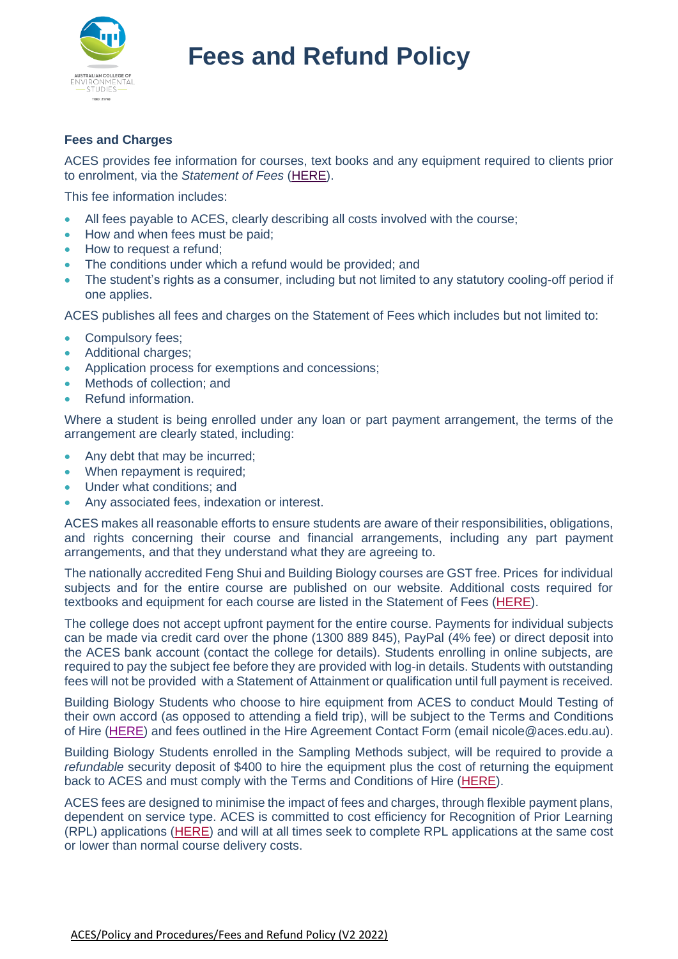

## **Fees and Charges**

ACES provides fee information for courses, text books and any equipment required to clients prior to enrolment, via the *Statement of Fees* [\(HERE\)](https://aces.edu.au/wp-content/uploads/2022/06/Statement-of-Fees-V2-2022.pdf).

This fee information includes:

- All fees payable to ACES, clearly describing all costs involved with the course;
- How and when fees must be paid:
- How to request a refund;
- The conditions under which a refund would be provided; and
- The student's rights as a consumer, including but not limited to any statutory cooling-off period if one applies.

ACES publishes all fees and charges on the Statement of Fees which includes but not limited to:

- Compulsory fees;
- Additional charges;
- Application process for exemptions and concessions;
- Methods of collection: and
- Refund information.

Where a student is being enrolled under any loan or part payment arrangement, the terms of the arrangement are clearly stated, including:

- Any debt that may be incurred;
- When repayment is required:
- Under what conditions; and
- Any associated fees, indexation or interest.

ACES makes all reasonable efforts to ensure students are aware of their responsibilities, obligations, and rights concerning their course and financial arrangements, including any part payment arrangements, and that they understand what they are agreeing to.

The nationally accredited Feng Shui and Building Biology courses are GST free. Prices for individual subjects and for the entire course are published on our website. Additional costs required for textbooks and equipment for each course are listed in the Statement of Fees [\(HERE\)](https://aces.edu.au/wp-content/uploads/2022/06/Statement-of-Fees-V2-2022.pdf).

The college does not accept upfront payment for the entire course. Payments for individual subjects can be made via credit card over the phone (1300 889 845), PayPal (4% fee) or direct deposit into the ACES bank account (contact the college for details). Students enrolling in online subjects, are required to pay the subject fee before they are provided with log-in details. Students with outstanding fees will not be provided with a Statement of Attainment or qualification until full payment is received.

Building Biology Students who choose to hire equipment from ACES to conduct Mould Testing of their own accord (as opposed to attending a field trip), will be subject to the Terms and Conditions of Hire [\(HERE\)](https://aces.edu.au/wp-content/uploads/2022/06/Terms-and-Conditions-V1-2022.pdf) and fees outlined in the Hire Agreement Contact Form (email nicole@aces.edu.au).

Building Biology Students enrolled in the Sampling Methods subject, will be required to provide a *refundable* security deposit of \$400 to hire the equipment plus the cost of returning the equipment back to ACES and must comply with the Terms and Conditions of Hire [\(HERE\)](https://aces.edu.au/wp-content/uploads/2022/06/Terms-and-Conditions-V1-2022.pdf).

ACES fees are designed to minimise the impact of fees and charges, through flexible payment plans, dependent on service type. ACES is committed to cost efficiency for Recognition of Prior Learning (RPL) applications [\(HERE\)](https://aces.edu.au/enrol/recognition-of-prior-learning/) and will at all times seek to complete RPL applications at the same cost or lower than normal course delivery costs.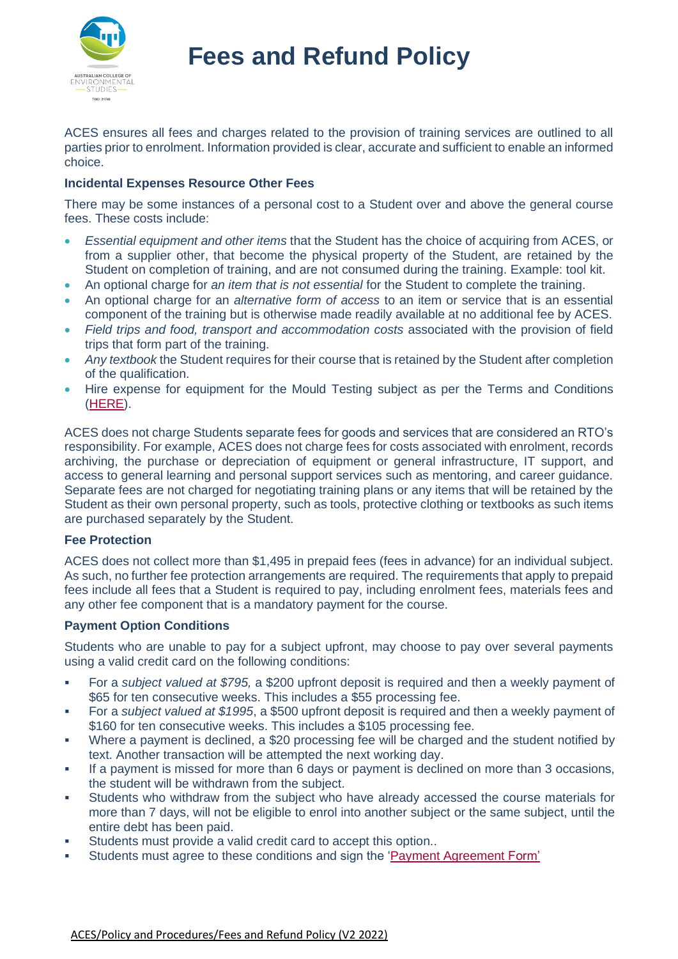

ACES ensures all fees and charges related to the provision of training services are outlined to all parties prior to enrolment. Information provided is clear, accurate and sufficient to enable an informed choice.

## **Incidental Expenses Resource Other Fees**

There may be some instances of a personal cost to a Student over and above the general course fees. These costs include:

- *Essential equipment and other items* that the Student has the choice of acquiring from ACES, or from a supplier other, that become the physical property of the Student, are retained by the Student on completion of training, and are not consumed during the training. Example: tool kit.
- An optional charge for *an item that is not essential* for the Student to complete the training.
- An optional charge for an *alternative form of access* to an item or service that is an essential component of the training but is otherwise made readily available at no additional fee by ACES.
- *Field trips and food, transport and accommodation costs* associated with the provision of field trips that form part of the training.
- *Any textbook* the Student requires for their course that is retained by the Student after completion of the qualification.
- Hire expense for equipment for the Mould Testing subject as per the Terms and Conditions [\(HERE\)](https://aces.edu.au/wp-content/uploads/2022/06/Terms-and-Conditions-V1-2022.pdf).

ACES does not charge Students separate fees for goods and services that are considered an RTO's responsibility. For example, ACES does not charge fees for costs associated with enrolment, records archiving, the purchase or depreciation of equipment or general infrastructure, IT support, and access to general learning and personal support services such as mentoring, and career guidance. Separate fees are not charged for negotiating training plans or any items that will be retained by the Student as their own personal property, such as tools, protective clothing or textbooks as such items are purchased separately by the Student.

### **Fee Protection**

ACES does not collect more than \$1,495 in prepaid fees (fees in advance) for an individual subject. As such, no further fee protection arrangements are required. The requirements that apply to prepaid fees include all fees that a Student is required to pay, including enrolment fees, materials fees and any other fee component that is a mandatory payment for the course.

### **Payment Option Conditions**

Students who are unable to pay for a subject upfront, may choose to pay over several payments using a valid credit card on the following conditions:

- For a *subject valued at \$795,* a \$200 upfront deposit is required and then a weekly payment of \$65 for ten consecutive weeks. This includes a \$55 processing fee.
- For a *subject valued at \$1995*, a \$500 upfront deposit is required and then a weekly payment of \$160 for ten consecutive weeks. This includes a \$105 processing fee.
- Where a payment is declined, a \$20 processing fee will be charged and the student notified by text. Another transaction will be attempted the next working day.
- If a payment is missed for more than 6 days or payment is declined on more than 3 occasions, the student will be withdrawn from the subject.
- **•** Students who withdraw from the subject who have already accessed the course materials for more than 7 days, will not be eligible to enrol into another subject or the same subject, until the entire debt has been paid.
- Students must provide a valid credit card to accept this option..
- Students must agree to these conditions and sign the ['Payment Agreement](https://aces.edu.au/wp-content/uploads/2022/06/Payment-Agreement-Form-V1-2022.pdf) Form'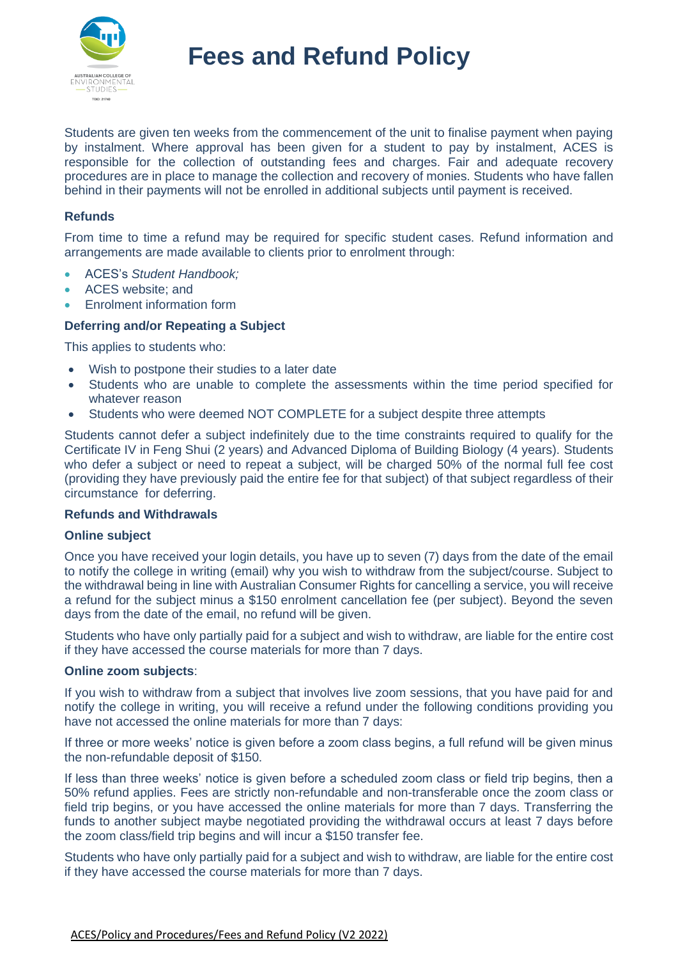

Students are given ten weeks from the commencement of the unit to finalise payment when paying by instalment. Where approval has been given for a student to pay by instalment, ACES is responsible for the collection of outstanding fees and charges. Fair and adequate recovery procedures are in place to manage the collection and recovery of monies. Students who have fallen behind in their payments will not be enrolled in additional subjects until payment is received.

#### **Refunds**

From time to time a refund may be required for specific student cases. Refund information and arrangements are made available to clients prior to enrolment through:

- ACES's *Student Handbook;*
- ACES website; and
- Enrolment information form

#### **Deferring and/or Repeating a Subject**

This applies to students who:

- Wish to postpone their studies to a later date
- Students who are unable to complete the assessments within the time period specified for whatever reason
- Students who were deemed NOT COMPLETE for a subject despite three attempts

Students cannot defer a subject indefinitely due to the time constraints required to qualify for the Certificate IV in Feng Shui (2 years) and Advanced Diploma of Building Biology (4 years). Students who defer a subject or need to repeat a subject, will be charged 50% of the normal full fee cost (providing they have previously paid the entire fee for that subject) of that subject regardless of their circumstance for deferring.

#### **Refunds and Withdrawals**

#### **Online subject**

Once you have received your login details, you have up to seven (7) days from the date of the email to notify the college in writing (email) why you wish to withdraw from the subject/course. Subject to the withdrawal being in line with Australian Consumer Rights for cancelling a service, you will receive a refund for the subject minus a \$150 enrolment cancellation fee (per subject). Beyond the seven days from the date of the email, no refund will be given.

Students who have only partially paid for a subject and wish to withdraw, are liable for the entire cost if they have accessed the course materials for more than 7 days.

#### **Online zoom subjects**:

If you wish to withdraw from a subject that involves live zoom sessions, that you have paid for and notify the college in writing, you will receive a refund under the following conditions providing you have not accessed the online materials for more than 7 days:

If three or more weeks' notice is given before a zoom class begins, a full refund will be given minus the non-refundable deposit of \$150.

If less than three weeks' notice is given before a scheduled zoom class or field trip begins, then a 50% refund applies. Fees are strictly non-refundable and non-transferable once the zoom class or field trip begins, or you have accessed the online materials for more than 7 days. Transferring the funds to another subject maybe negotiated providing the withdrawal occurs at least 7 days before the zoom class/field trip begins and will incur a \$150 transfer fee.

Students who have only partially paid for a subject and wish to withdraw, are liable for the entire cost if they have accessed the course materials for more than 7 days.